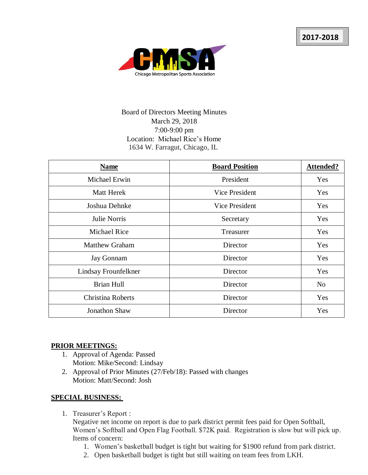

# Board of Directors Meeting Minutes March 29, 2018 7:00-9:00 pm Location: Michael Rice's Home 1634 W. Farragut, Chicago, IL

| <b>Name</b>           | <b>Board Position</b> | Attended?      |
|-----------------------|-----------------------|----------------|
| Michael Erwin         | President             | Yes            |
| <b>Matt Herek</b>     | Vice President        | <b>Yes</b>     |
| Joshua Dehnke         | Vice President        | Yes            |
| Julie Norris          | Secretary             | Yes            |
| <b>Michael Rice</b>   | Treasurer             | Yes            |
| <b>Matthew Graham</b> | Director              | Yes            |
| <b>Jay Gonnam</b>     | Director              | Yes            |
| Lindsay Frounfelkner  | Director              | Yes            |
| <b>Brian Hull</b>     | Director              | N <sub>o</sub> |
| Christina Roberts     | Director              | Yes            |
| <b>Jonathon Shaw</b>  | Director              | <b>Yes</b>     |

#### **PRIOR MEETINGS:**

- 1. Approval of Agenda: Passed Motion: Mike/Second: Lindsay
- 2. Approval of Prior Minutes (27/Feb/18): Passed with changes Motion: Matt/Second: Josh

#### **SPECIAL BUSINESS:**

1. Treasurer's Report :

Negative net income on report is due to park district permit fees paid for Open Softball, Women's Softball and Open Flag Football. \$72K paid. Registration is slow but will pick up. Items of concern:

- 1. Women's basketball budget is tight but waiting for \$1900 refund from park district.
- 2. Open basketball budget is tight but still waiting on team fees from LKH.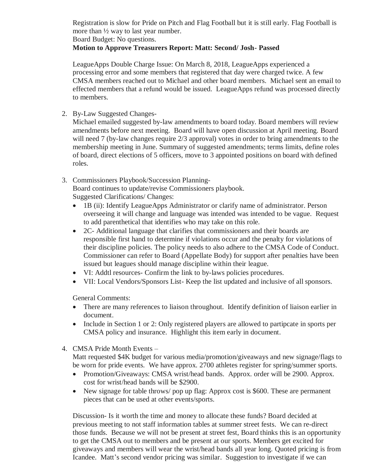Registration is slow for Pride on Pitch and Flag Football but it is still early. Flag Football is more than ½ way to last year number.

Board Budget: No questions.

### **Motion to Approve Treasurers Report: Matt: Second/ Josh- Passed**

LeagueApps Double Charge Issue: On March 8, 2018, LeagueApps experienced a processing error and some members that registered that day were charged twice. A few CMSA members reached out to Michael and other board members. Michael sent an email to effected members that a refund would be issued. LeagueApps refund was processed directly to members.

2. By-Law Suggested Changes-

Michael emailed suggested by-law amendments to board today. Board members will review amendments before next meeting. Board will have open discussion at April meeting. Board will need 7 (by-law changes require 2/3 approval) votes in order to bring amendments to the membership meeting in June. Summary of suggested amendments; terms limits, define roles of board, direct elections of 5 officers, move to 3 appointed positions on board with defined roles.

- 3. Commissioners Playbook/Succession Planning-Board continues to update/revise Commissioners playbook. Suggested Clarifications/ Changes:
	- 1B (ii): Identify LeagueApps Administrator or clarify name of administrator. Person overseeing it will change and language was intended was intended to be vague. Request to add parenthetical that identifies who may take on this role.
	- 2C- Additional language that clarifies that commissioners and their boards are responsible first hand to determine if violations occur and the penalty for violations of their discipline policies. The policy needs to also adhere to the CMSA Code of Conduct. Commissioner can refer to Board (Appellate Body) for support after penalties have been issued but leagues should manage discipline within their league.
	- VI: Addtl resources- Confirm the link to by-laws policies procedures.
	- VII: Local Vendors/Sponsors List- Keep the list updated and inclusive of all sponsors.

General Comments:

- There are many references to liaison throughout. Identify definition of liaison earlier in document.
- Include in Section 1 or 2: Only registered players are allowed to partipcate in sports per CMSA policy and insurance. Highlight this item early in document.
- 4. CMSA Pride Month Events –

Matt requested \$4K budget for various media/promotion/giveaways and new signage/flags to be worn for pride events. We have approx. 2700 athletes register for spring/summer sports.

- Promotion/Giveaways: CMSA wrist/head bands. Approx. order will be 2900. Approx. cost for wrist/head bands will be \$2900.
- New signage for table throws/ pop up flag: Approx cost is \$600. These are permanent pieces that can be used at other events/sports.

Discussion- Is it worth the time and money to allocate these funds? Board decided at previous meeting to not staff information tables at summer street fests. We can re-direct those funds. Because we will not be present at street fest, Board thinks this is an opportunity to get the CMSA out to members and be present at our sports. Members get excited for giveaways and members will wear the wrist/head bands all year long. Quoted pricing is from Icandee. Matt's second vendor pricing was similar. Suggestion to investigate if we can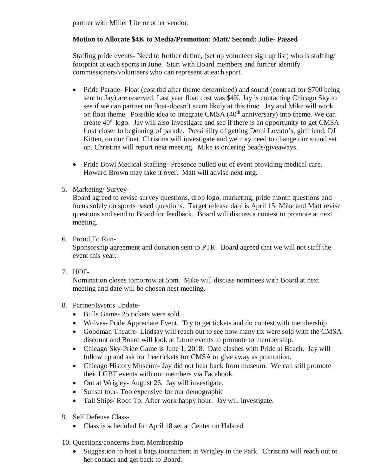partner with Miller Lite or other vendor.

### **Motion to Allocate \$4K to Media/Promotion: Matt/ Second: Julie- Passed**

Staffing pride events- Need to further define, (set up volunteer sign up list) who is staffing/ footprint at each sports in June. Start with Board members and further identify commissioners/volunteers who can represent at each sport.

- Pride Parade- Float (cost tbd after theme determined) and sound (contract for \$700 being sent to Jay) are reserved. Last year float cost was \$4K. Jay is contacting Chicago Sky to see if we can partner on float-doesn't seem likely at this time. Jay and Mike will work on float theme. Possible idea to integrate CMSA  $(40<sup>th</sup>$  anniversary) into theme. We can create  $40<sup>th</sup>$  logo. Jay will also investigate and see if there is an opportunity to get CMSA float closer to beginning of parade. Possibility of getting Demi Lovato's, girlfriend, DJ Kitten, on our float. Christina will investigate and we may need to change our sound set up. Christina will report next meeting. Mike is ordering beads/giveaways.
- Pride Bowl Medical Staffing- Presence pulled out of event providing medical care. Howard Brown may take it over. Matt will advise next mtg.
- 5. Marketing/ Survey-

Board agreed to revise survey questions, drop logo, marketing, pride month questions and focus solely on sports based questions. Target release date is April 15. Mike and Matt revise questions and send to Board for feedback. Board will discuss a contest to promote at next meeting.

6. Proud To Run-

Sponsorship agreement and donation sent to PTR. Board agreed that we will not staff the event this year.

7. HOF-

Nomination closes tomorrow at 5pm. Mike will discuss nominees with Board at next meeting and date will be chosen nest meeting.

- 8. Partner/Events Update-
	- Bulls Game- 25 tickets were sold.
	- Wolves- Pride Appreciate Event. Try to get tickets and do contest with membership
	- Goodman Theatre- Lindsay will reach out to see how many tix were sold with the CMSA discount and Board will look at future events to promote to membership.
	- Chicago Sky-Pride Game is June 1, 2018. Date clashes with Pride at Beach. Jay will follow up and ask for free tickets for CMSA to give away as promotion.
	- Chicago History Museum- Jay did not hear back from museum. We can still promote their LGBT events with our members via Facebook.
	- Out at Wrigley-August 26. Jay will investigate.
	- Sunset tour-Too expensive for our demographic
	- Tall Ships/ Roof To: After work happy hour. Jay will investigate.
- 9. Self Defense Class-
	- Class is scheduled for April 18 set at Center on Halsted
- 10. Questions/concerns from Membership
	- Suggestion to host a bags tournament at Wrigley in the Park. Christina will reach out to her contact and get back to Board.